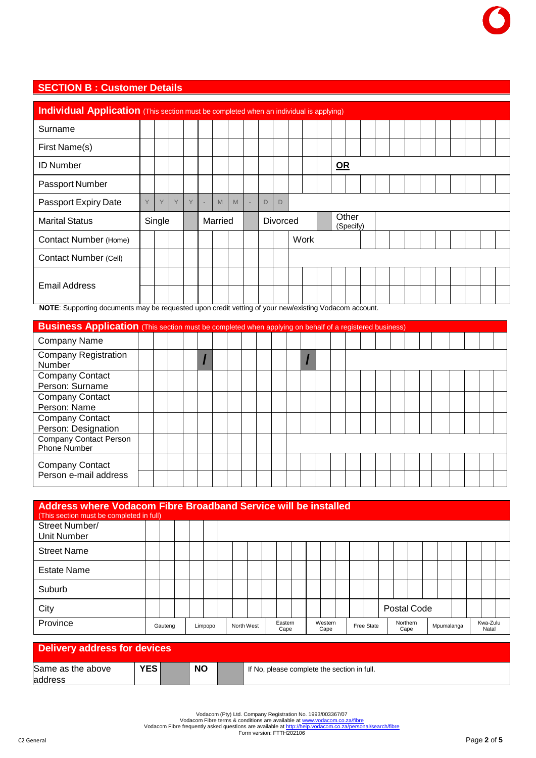## **SECTION B : Customer Details**

|                                                                                                                                            | Individual Application (This section must be completed when an individual is applying) |        |   |   |  |         |   |  |   |          |  |      |  |            |                    |  |  |  |  |  |
|--------------------------------------------------------------------------------------------------------------------------------------------|----------------------------------------------------------------------------------------|--------|---|---|--|---------|---|--|---|----------|--|------|--|------------|--------------------|--|--|--|--|--|
| Surname                                                                                                                                    |                                                                                        |        |   |   |  |         |   |  |   |          |  |      |  |            |                    |  |  |  |  |  |
| First Name(s)                                                                                                                              |                                                                                        |        |   |   |  |         |   |  |   |          |  |      |  |            |                    |  |  |  |  |  |
| <b>ID Number</b>                                                                                                                           |                                                                                        |        |   |   |  |         |   |  |   |          |  |      |  | $\Omega$ R |                    |  |  |  |  |  |
| Passport Number                                                                                                                            |                                                                                        |        |   |   |  |         |   |  |   |          |  |      |  |            |                    |  |  |  |  |  |
| Passport Expiry Date                                                                                                                       | Y                                                                                      | Y      | Y | Y |  | M       | M |  | D | D        |  |      |  |            |                    |  |  |  |  |  |
| <b>Marital Status</b>                                                                                                                      |                                                                                        | Single |   |   |  | Married |   |  |   | Divorced |  |      |  |            | Other<br>(Specify) |  |  |  |  |  |
| Contact Number (Home)                                                                                                                      |                                                                                        |        |   |   |  |         |   |  |   |          |  | Work |  |            |                    |  |  |  |  |  |
| Contact Number (Cell)                                                                                                                      |                                                                                        |        |   |   |  |         |   |  |   |          |  |      |  |            |                    |  |  |  |  |  |
|                                                                                                                                            |                                                                                        |        |   |   |  |         |   |  |   |          |  |      |  |            |                    |  |  |  |  |  |
| <b>Email Address</b><br>NOTE. Quantum decompate accorde a construction and the first free and control of the New York and the construction |                                                                                        |        |   |   |  |         |   |  |   |          |  |      |  |            |                    |  |  |  |  |  |

**NOTE**: Supporting documents may be requested upon credit vetting of your new/existing Vodacom account.

| <b>Business Application</b> (This section must be completed when applying on behalf of a registered business) |  |  |  |  |  |  |  |  |  |  |  |  |  |
|---------------------------------------------------------------------------------------------------------------|--|--|--|--|--|--|--|--|--|--|--|--|--|
| <b>Company Name</b>                                                                                           |  |  |  |  |  |  |  |  |  |  |  |  |  |
| <b>Company Registration</b><br>Number                                                                         |  |  |  |  |  |  |  |  |  |  |  |  |  |
| <b>Company Contact</b>                                                                                        |  |  |  |  |  |  |  |  |  |  |  |  |  |
| Person: Surname                                                                                               |  |  |  |  |  |  |  |  |  |  |  |  |  |
| <b>Company Contact</b>                                                                                        |  |  |  |  |  |  |  |  |  |  |  |  |  |
| Person: Name                                                                                                  |  |  |  |  |  |  |  |  |  |  |  |  |  |
| <b>Company Contact</b>                                                                                        |  |  |  |  |  |  |  |  |  |  |  |  |  |
| Person: Designation                                                                                           |  |  |  |  |  |  |  |  |  |  |  |  |  |
| <b>Company Contact Person</b><br>Phone Number                                                                 |  |  |  |  |  |  |  |  |  |  |  |  |  |
| Company Contact                                                                                               |  |  |  |  |  |  |  |  |  |  |  |  |  |
| Person e-mail address                                                                                         |  |  |  |  |  |  |  |  |  |  |  |  |  |

| Address where Vodacom Fibre Broadband Service will be installed<br>(This section must be completed in full) |         |         |  |            |  |                 |  |                 |  |            |                  |             |            |  |                   |  |
|-------------------------------------------------------------------------------------------------------------|---------|---------|--|------------|--|-----------------|--|-----------------|--|------------|------------------|-------------|------------|--|-------------------|--|
| Street Number/<br>Unit Number                                                                               |         |         |  |            |  |                 |  |                 |  |            |                  |             |            |  |                   |  |
| <b>Street Name</b>                                                                                          |         |         |  |            |  |                 |  |                 |  |            |                  |             |            |  |                   |  |
| <b>Estate Name</b>                                                                                          |         |         |  |            |  |                 |  |                 |  |            |                  |             |            |  |                   |  |
| Suburb                                                                                                      |         |         |  |            |  |                 |  |                 |  |            |                  |             |            |  |                   |  |
| City                                                                                                        |         |         |  |            |  |                 |  |                 |  |            |                  | Postal Code |            |  |                   |  |
| Province                                                                                                    | Gauteng | Limpopo |  | North West |  | Eastern<br>Cape |  | Western<br>Cape |  | Free State | Northern<br>Cape |             | Mpumalanga |  | Kwa-Zulu<br>Natal |  |
| Delivery address for devices                                                                                |         |         |  |            |  |                 |  |                 |  |            |                  |             |            |  |                   |  |

| Delivery address for devices |              |           |                                             |
|------------------------------|--------------|-----------|---------------------------------------------|
| Same as the above            | <b>YES</b> I | <b>NO</b> | If No, please complete the section in full. |
| laddress                     |              |           |                                             |

Vodacom (Pty) Ltd. Company Registration No. 1993/003367/07<br>Vodacom Fibre terms & conditions are available at <u>http://help.vodacom.co.za/fibre</u><br>Form version: FTTH202106<br>Form version: FTTH202106